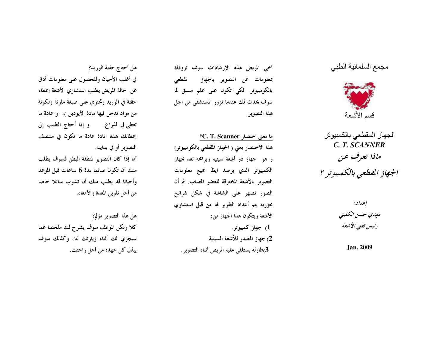## مجمع السلمانية الطبي



الجهاز المقطعي بالكمبيوتر C. T. SCANNER ماذا تعرف عن الجهاز القطعي بالكمبيوتر ؟

> إعداد: مهدي حسن الكليتي رئيس تقنى الأشعة

> > **Jan. 2009**

أخي المريض هذه الإرشادات سوف تزودك بمعلومات عن التصوير بالجهاز المقطعي بالكومبيوتر. لكي تكون على علم مسبق لما سوف يحدث لك عندما تزور المستشفى من اجل هذا التصوير .

ما معنى اختصار C. T. Scanner؟ هذا الاختصار يعني ( الجهاز المقطعي بالكومبيوتو ) و هو حجهاز ذو أشعة سينيه وبرامجه تعد بجهاز الكمبيوتر الذي يرصد ايظأ جميع معلومات التصوير بالأشعة المخترقة للعضو المصاب. ثم أن الصور تضهر على الشاشة في شكل شرائح محوريه يتم أعداد التقرير لها من قبل استشاري الأشعة ويتكون هذا الجهاز من: جهاز کمبيوتر .  $1$ 2) جهاز المصدر للأشعة السينية. 3)طاوله يستلقى عليه المريض أثناء التصوير .

هل أحتاج حقنة الوريد؟ في أغلب الأحيان وللحصول على معلومات أدق عن حالة المريض يطلب استشاري الأشعة إعطاء حقنة في الوريد وتحتوي على صبغة ملونة (مكونة من مواد تدخل فيها مادة الأيودين )، و عادة ما تعطي في الذراع. وإذا أحتاج الطبيب إلى إعطائك هذه المادة عادة ما تكون في منتصف التصوير أو في بدايته.

أما إذا كان التصوير لمنطقة البطن فسوف يطلب منك أن تكون صائما لمدة 6 ساعات قبل الموعد وأحيانا قد يطلب منك أن تشرب سائلا خاصا من أجل تلوين المعدة والأمعاء.

هل هذا التصوير مؤلم؟ كلا ولكن الموظف سوف يشرح لك ملخصا عما سيجري لك أثناء زيارتك لنا، وكذلك سوف يبذل كل جهده من أجل راحتك.